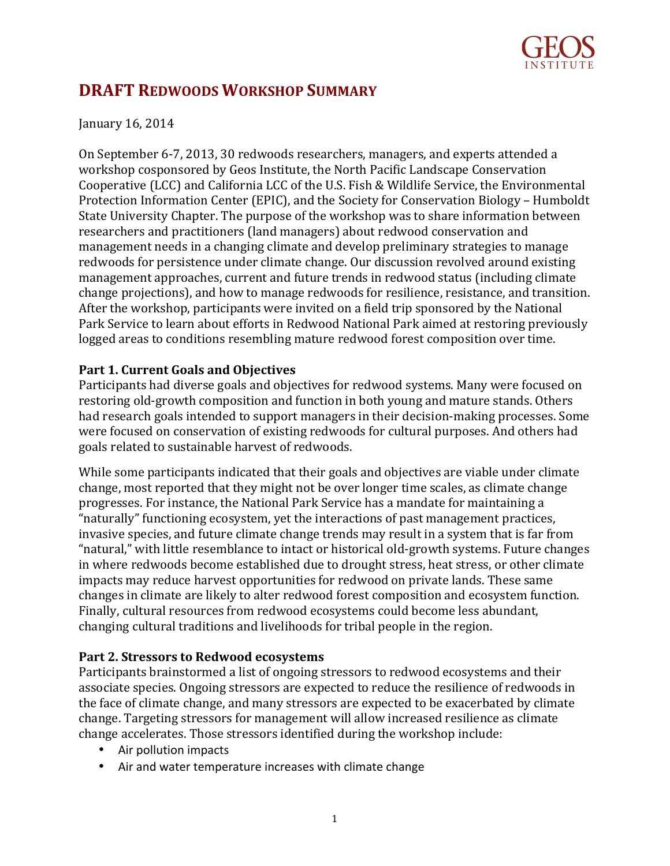

# **DRAFT REDWOODS WORKSHOP SUMMARY**

# January 16, 2014

On September 6-7, 2013, 30 redwoods researchers, managers, and experts attended a workshop cosponsored by Geos Institute, the North Pacific Landscape Conservation Cooperative (LCC) and California LCC of the U.S. Fish & Wildlife Service, the Environmental Protection Information Center (EPIC), and the Society for Conservation Biology – Humboldt State University Chapter. The purpose of the workshop was to share information between researchers and practitioners (land managers) about redwood conservation and management needs in a changing climate and develop preliminary strategies to manage redwoods for persistence under climate change. Our discussion revolved around existing management approaches, current and future trends in redwood status (including climate change projections), and how to manage redwoods for resilience, resistance, and transition. After the workshop, participants were invited on a field trip sponsored by the National Park Service to learn about efforts in Redwood National Park aimed at restoring previously logged areas to conditions resembling mature redwood forest composition over time.

# **Part 1. Current Goals and Objectives**

Participants had diverse goals and objectives for redwood systems. Many were focused on restoring old-growth composition and function in both young and mature stands. Others had research goals intended to support managers in their decision-making processes. Some were focused on conservation of existing redwoods for cultural purposes. And others had goals related to sustainable harvest of redwoods.

While some participants indicated that their goals and objectives are viable under climate change, most reported that they might not be over longer time scales, as climate change progresses. For instance, the National Park Service has a mandate for maintaining a "naturally" functioning ecosystem, yet the interactions of past management practices, invasive species, and future climate change trends may result in a system that is far from "natural," with little resemblance to intact or historical old-growth systems. Future changes in where redwoods become established due to drought stress, heat stress, or other climate impacts may reduce harvest opportunities for redwood on private lands. These same changes in climate are likely to alter redwood forest composition and ecosystem function. Finally, cultural resources from redwood ecosystems could become less abundant, changing cultural traditions and livelihoods for tribal people in the region.

# **Part 2. Stressors to Redwood ecosystems**

Participants brainstormed a list of ongoing stressors to redwood ecosystems and their associate species. Ongoing stressors are expected to reduce the resilience of redwoods in the face of climate change, and many stressors are expected to be exacerbated by climate change. Targeting stressors for management will allow increased resilience as climate change accelerates. Those stressors identified during the workshop include:

- Air pollution impacts
- Air and water temperature increases with climate change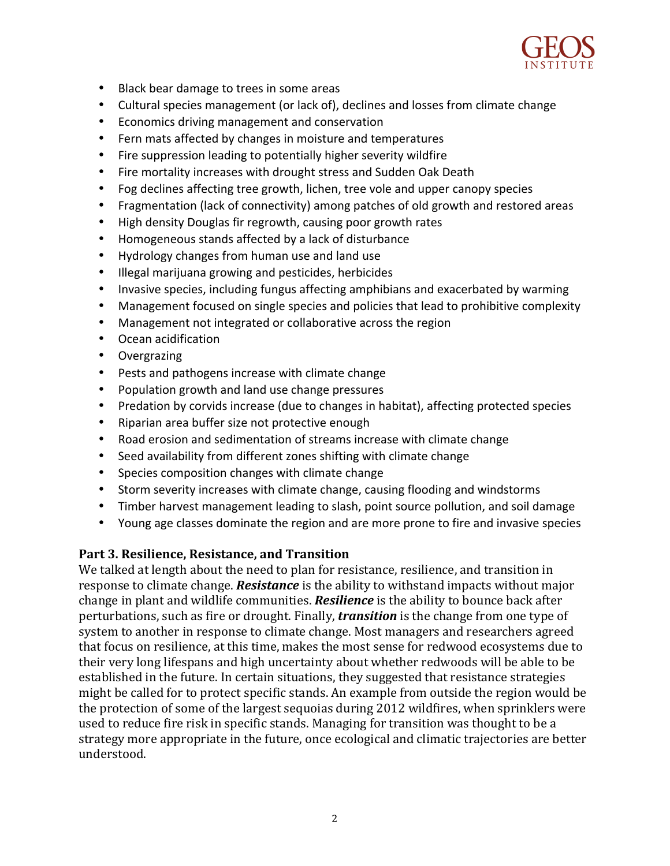

- Black bear damage to trees in some areas
- Cultural species management (or lack of), declines and losses from climate change
- Economics driving management and conservation
- Fern mats affected by changes in moisture and temperatures
- Fire suppression leading to potentially higher severity wildfire
- Fire mortality increases with drought stress and Sudden Oak Death
- Fog declines affecting tree growth, lichen, tree vole and upper canopy species
- Fragmentation (lack of connectivity) among patches of old growth and restored areas
- High density Douglas fir regrowth, causing poor growth rates
- Homogeneous stands affected by a lack of disturbance
- Hydrology changes from human use and land use
- Illegal marijuana growing and pesticides, herbicides
- Invasive species, including fungus affecting amphibians and exacerbated by warming
- Management focused on single species and policies that lead to prohibitive complexity
- Management not integrated or collaborative across the region
- Ocean acidification
- Overgrazing
- Pests and pathogens increase with climate change
- Population growth and land use change pressures
- Predation by corvids increase (due to changes in habitat), affecting protected species
- Riparian area buffer size not protective enough
- Road erosion and sedimentation of streams increase with climate change
- Seed availability from different zones shifting with climate change
- Species composition changes with climate change
- Storm severity increases with climate change, causing flooding and windstorms
- Timber harvest management leading to slash, point source pollution, and soil damage
- Young age classes dominate the region and are more prone to fire and invasive species

# Part 3. Resilience, Resistance, and Transition

We talked at length about the need to plan for resistance, resilience, and transition in response to climate change. *Resistance* is the ability to withstand impacts without major change in plant and wildlife communities. **Resilience** is the ability to bounce back after perturbations, such as fire or drought. Finally, *transition* is the change from one type of system to another in response to climate change. Most managers and researchers agreed that focus on resilience, at this time, makes the most sense for redwood ecosystems due to their very long lifespans and high uncertainty about whether redwoods will be able to be established in the future. In certain situations, they suggested that resistance strategies might be called for to protect specific stands. An example from outside the region would be the protection of some of the largest sequoias during 2012 wildfires, when sprinklers were used to reduce fire risk in specific stands. Managing for transition was thought to be a strategy more appropriate in the future, once ecological and climatic trajectories are better understood.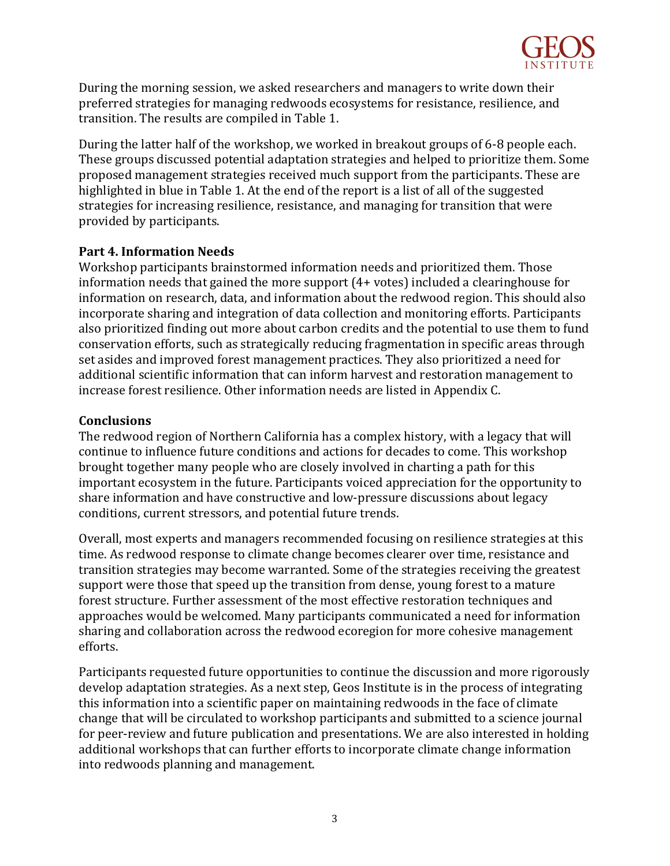

During the morning session, we asked researchers and managers to write down their preferred strategies for managing redwoods ecosystems for resistance, resilience, and transition. The results are compiled in Table 1.

During the latter half of the workshop, we worked in breakout groups of 6-8 people each. These groups discussed potential adaptation strategies and helped to prioritize them. Some proposed management strategies received much support from the participants. These are highlighted in blue in Table 1. At the end of the report is a list of all of the suggested strategies for increasing resilience, resistance, and managing for transition that were provided by participants.

#### **Part 4. Information Needs**

Workshop participants brainstormed information needs and prioritized them. Those information needs that gained the more support  $(4+$  votes) included a clearinghouse for information on research, data, and information about the redwood region. This should also incorporate sharing and integration of data collection and monitoring efforts. Participants also prioritized finding out more about carbon credits and the potential to use them to fund conservation efforts, such as strategically reducing fragmentation in specific areas through set asides and improved forest management practices. They also prioritized a need for additional scientific information that can inform harvest and restoration management to increase forest resilience. Other information needs are listed in Appendix C.

#### **Conclusions**

The redwood region of Northern California has a complex history, with a legacy that will continue to influence future conditions and actions for decades to come. This workshop brought together many people who are closely involved in charting a path for this important ecosystem in the future. Participants voiced appreciation for the opportunity to share information and have constructive and low-pressure discussions about legacy conditions, current stressors, and potential future trends.

Overall, most experts and managers recommended focusing on resilience strategies at this time. As redwood response to climate change becomes clearer over time, resistance and transition strategies may become warranted. Some of the strategies receiving the greatest support were those that speed up the transition from dense, young forest to a mature forest structure. Further assessment of the most effective restoration techniques and approaches would be welcomed. Many participants communicated a need for information sharing and collaboration across the redwood ecoregion for more cohesive management efforts. 

Participants requested future opportunities to continue the discussion and more rigorously develop adaptation strategies. As a next step, Geos Institute is in the process of integrating this information into a scientific paper on maintaining redwoods in the face of climate change that will be circulated to workshop participants and submitted to a science journal for peer-review and future publication and presentations. We are also interested in holding additional workshops that can further efforts to incorporate climate change information into redwoods planning and management.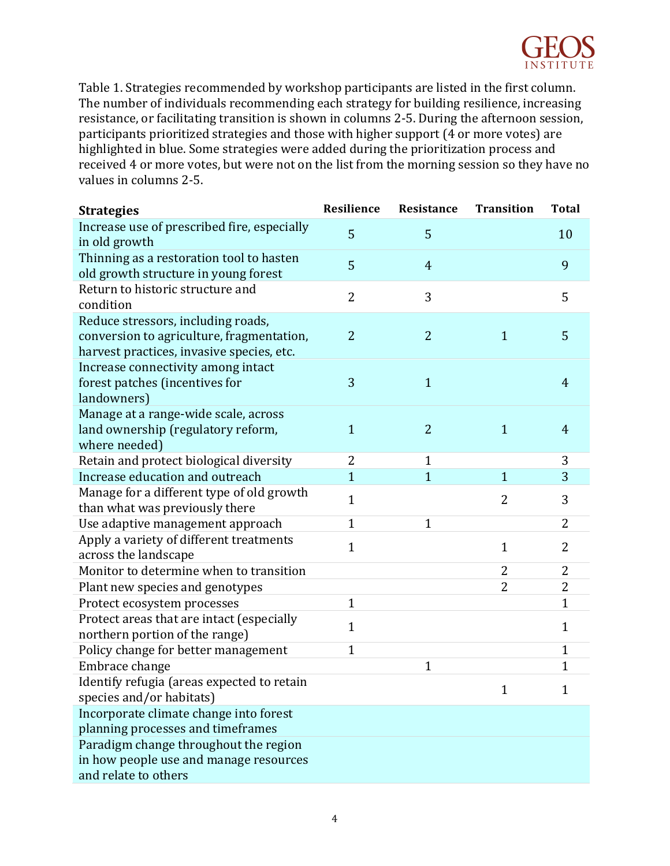

Table 1. Strategies recommended by workshop participants are listed in the first column. The number of individuals recommending each strategy for building resilience, increasing resistance, or facilitating transition is shown in columns 2-5. During the afternoon session, participants prioritized strategies and those with higher support (4 or more votes) are highlighted in blue. Some strategies were added during the prioritization process and received 4 or more votes, but were not on the list from the morning session so they have no values in columns 2-5.

| <b>Strategies</b>                                                                                                            | Resilience     | Resistance     | <b>Transition</b> | <b>Total</b>   |
|------------------------------------------------------------------------------------------------------------------------------|----------------|----------------|-------------------|----------------|
| Increase use of prescribed fire, especially<br>in old growth                                                                 | 5              | 5              |                   | 10             |
| Thinning as a restoration tool to hasten                                                                                     | 5              | $\overline{4}$ |                   | 9              |
| old growth structure in young forest                                                                                         |                |                |                   |                |
| Return to historic structure and<br>condition                                                                                | $\overline{2}$ | 3              |                   | 5              |
| Reduce stressors, including roads,<br>conversion to agriculture, fragmentation,<br>harvest practices, invasive species, etc. | $\overline{2}$ | 2              | $\mathbf{1}$      | 5              |
| Increase connectivity among intact<br>forest patches (incentives for<br>landowners)                                          | 3              | $\mathbf{1}$   |                   | $\overline{4}$ |
| Manage at a range-wide scale, across<br>land ownership (regulatory reform,<br>where needed)                                  | $\mathbf{1}$   | $\overline{2}$ | $\mathbf{1}$      | $\overline{4}$ |
| Retain and protect biological diversity                                                                                      | $\overline{2}$ | $\mathbf{1}$   |                   | 3              |
| Increase education and outreach                                                                                              | $\overline{1}$ | $\overline{1}$ | $\mathbf{1}$      | 3              |
| Manage for a different type of old growth<br>than what was previously there                                                  | $\mathbf{1}$   |                | $\overline{2}$    | 3              |
| Use adaptive management approach                                                                                             | $\mathbf{1}$   | 1              |                   | $\overline{2}$ |
| Apply a variety of different treatments<br>across the landscape                                                              | $\mathbf{1}$   |                | $\mathbf{1}$      | $\overline{2}$ |
| Monitor to determine when to transition                                                                                      |                |                | $\overline{2}$    | $\overline{2}$ |
| Plant new species and genotypes                                                                                              |                |                | $\overline{2}$    | $\overline{2}$ |
| Protect ecosystem processes                                                                                                  | $\mathbf{1}$   |                |                   | $\mathbf{1}$   |
| Protect areas that are intact (especially<br>northern portion of the range)                                                  | $\mathbf{1}$   |                |                   | $\mathbf{1}$   |
| Policy change for better management                                                                                          | $\mathbf{1}$   |                |                   | $\mathbf{1}$   |
| Embrace change                                                                                                               |                | $\mathbf{1}$   |                   | 1              |
| Identify refugia (areas expected to retain<br>species and/or habitats)                                                       |                |                | 1                 | 1              |
| Incorporate climate change into forest<br>planning processes and timeframes                                                  |                |                |                   |                |
| Paradigm change throughout the region                                                                                        |                |                |                   |                |
| in how people use and manage resources                                                                                       |                |                |                   |                |
| and relate to others                                                                                                         |                |                |                   |                |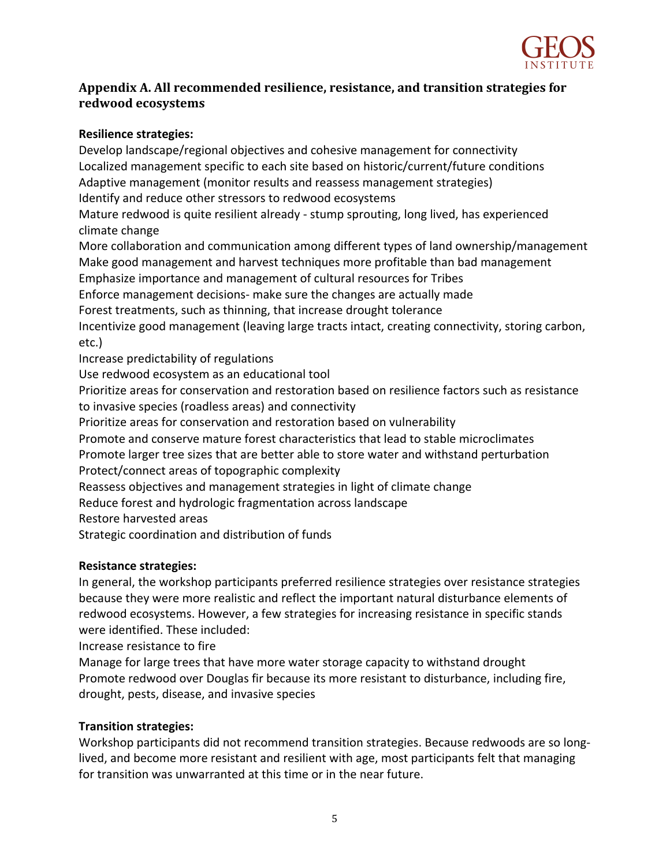

# Appendix A. All recommended resilience, resistance, and transition strategies for **redwood ecosystems**

#### **Resilience strategies:**

Develop landscape/regional objectives and cohesive management for connectivity Localized management specific to each site based on historic/current/future conditions Adaptive management (monitor results and reassess management strategies) Identify and reduce other stressors to redwood ecosystems Mature redwood is quite resilient already - stump sprouting, long lived, has experienced climate change More collaboration and communication among different types of land ownership/management Make good management and harvest techniques more profitable than bad management Emphasize importance and management of cultural resources for Tribes Enforce management decisions- make sure the changes are actually made Forest treatments, such as thinning, that increase drought tolerance Incentivize good management (leaving large tracts intact, creating connectivity, storing carbon, etc.) Increase predictability of regulations Use redwood ecosystem as an educational tool Prioritize areas for conservation and restoration based on resilience factors such as resistance to invasive species (roadless areas) and connectivity Prioritize areas for conservation and restoration based on vulnerability Promote and conserve mature forest characteristics that lead to stable microclimates Promote larger tree sizes that are better able to store water and withstand perturbation Protect/connect areas of topographic complexity Reassess objectives and management strategies in light of climate change Reduce forest and hydrologic fragmentation across landscape Restore harvested areas Strategic coordination and distribution of funds

# **Resistance strategies:**

In general, the workshop participants preferred resilience strategies over resistance strategies because they were more realistic and reflect the important natural disturbance elements of redwood ecosystems. However, a few strategies for increasing resistance in specific stands were identified. These included:

Increase resistance to fire

Manage for large trees that have more water storage capacity to withstand drought Promote redwood over Douglas fir because its more resistant to disturbance, including fire, drought, pests, disease, and invasive species

# **Transition strategies:**

Workshop participants did not recommend transition strategies. Because redwoods are so longlived, and become more resistant and resilient with age, most participants felt that managing for transition was unwarranted at this time or in the near future.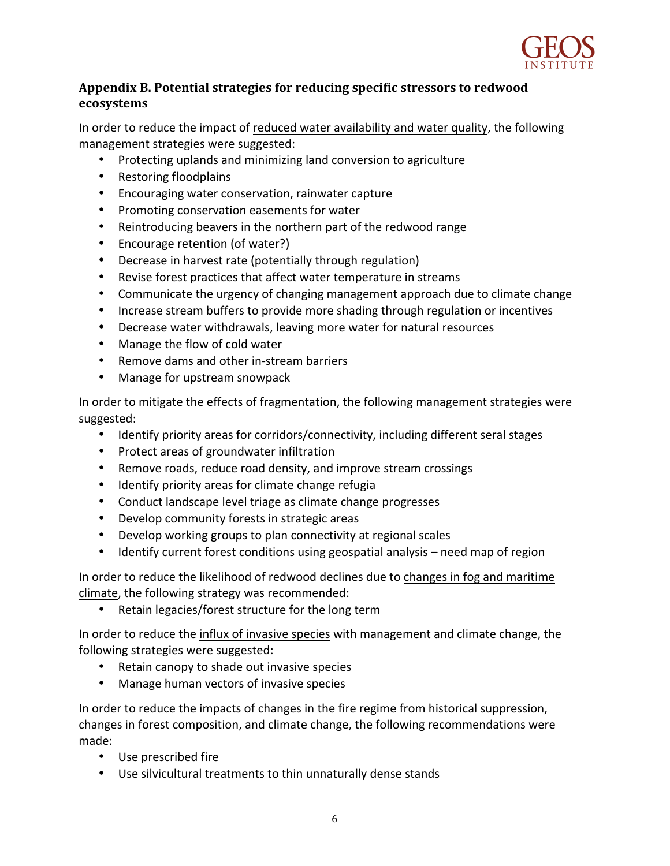

# Appendix B. Potential strategies for reducing specific stressors to redwood **ecosystems**

In order to reduce the impact of reduced water availability and water quality, the following management strategies were suggested:

- Protecting uplands and minimizing land conversion to agriculture
- Restoring floodplains
- Encouraging water conservation, rainwater capture
- Promoting conservation easements for water
- Reintroducing beavers in the northern part of the redwood range
- Encourage retention (of water?)
- Decrease in harvest rate (potentially through regulation)
- Revise forest practices that affect water temperature in streams
- Communicate the urgency of changing management approach due to climate change
- Increase stream buffers to provide more shading through regulation or incentives
- Decrease water withdrawals, leaving more water for natural resources
- Manage the flow of cold water
- Remove dams and other in-stream barriers
- Manage for upstream snowpack

In order to mitigate the effects of fragmentation, the following management strategies were suggested: 

- Identify priority areas for corridors/connectivity, including different seral stages
- Protect areas of groundwater infiltration
- Remove roads, reduce road density, and improve stream crossings
- Identify priority areas for climate change refugia
- Conduct landscape level triage as climate change progresses
- Develop community forests in strategic areas
- Develop working groups to plan connectivity at regional scales
- Identify current forest conditions using geospatial analysis need map of region

In order to reduce the likelihood of redwood declines due to changes in fog and maritime climate, the following strategy was recommended:

• Retain legacies/forest structure for the long term

In order to reduce the influx of invasive species with management and climate change, the following strategies were suggested:

- Retain canopy to shade out invasive species
- Manage human vectors of invasive species

In order to reduce the impacts of changes in the fire regime from historical suppression, changes in forest composition, and climate change, the following recommendations were made:

- Use prescribed fire
- Use silvicultural treatments to thin unnaturally dense stands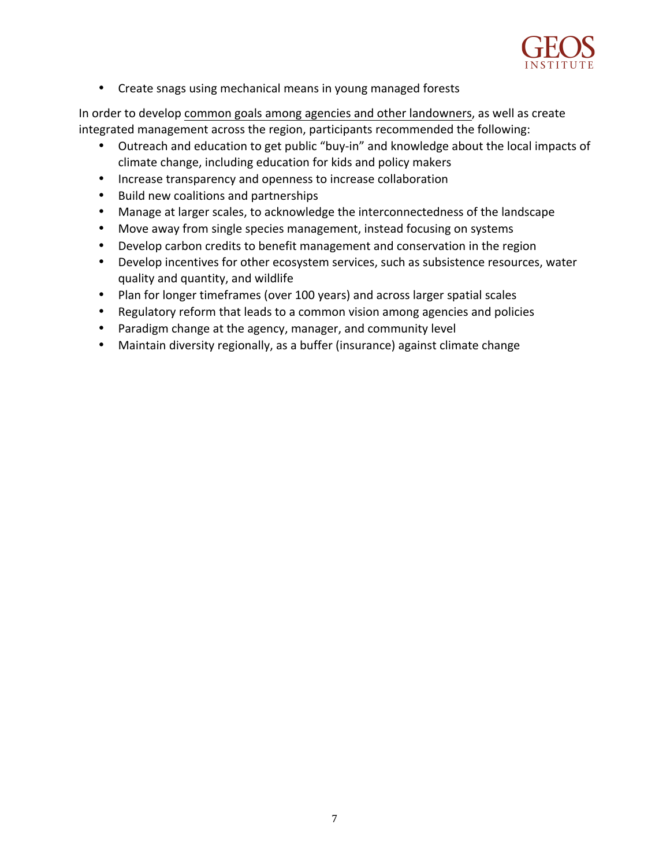

• Create snags using mechanical means in young managed forests

In order to develop common goals among agencies and other landowners, as well as create integrated management across the region, participants recommended the following:

- Outreach and education to get public "buy-in" and knowledge about the local impacts of climate change, including education for kids and policy makers
- Increase transparency and openness to increase collaboration
- Build new coalitions and partnerships
- Manage at larger scales, to acknowledge the interconnectedness of the landscape
- Move away from single species management, instead focusing on systems
- Develop carbon credits to benefit management and conservation in the region
- Develop incentives for other ecosystem services, such as subsistence resources, water quality and quantity, and wildlife
- Plan for longer timeframes (over 100 years) and across larger spatial scales
- Regulatory reform that leads to a common vision among agencies and policies
- Paradigm change at the agency, manager, and community level
- Maintain diversity regionally, as a buffer (insurance) against climate change